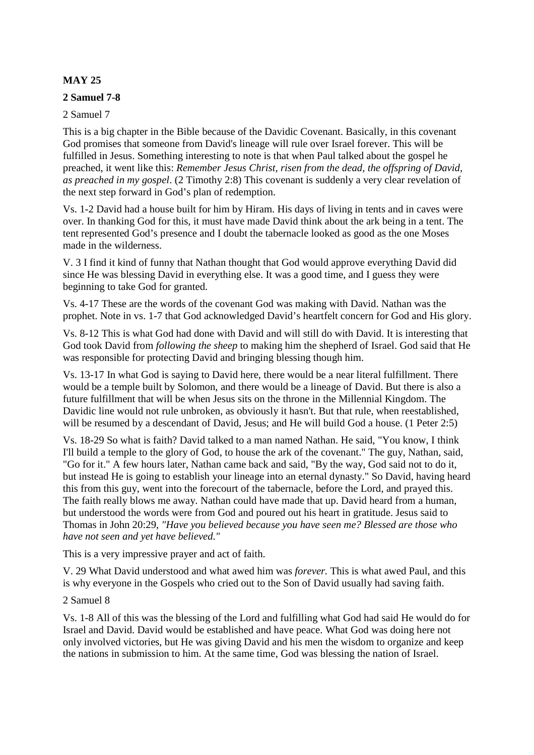# **MAY 25**

## **2 Samuel 7-8**

## 2 Samuel 7

This is a big chapter in the Bible because of the Davidic Covenant. Basically, in this covenant God promises that someone from David's lineage will rule over Israel forever. This will be fulfilled in Jesus. Something interesting to note is that when Paul talked about the gospel he preached, it went like this: *Remember Jesus Christ, risen from the dead, the offspring of David, as preached in my gospel*. (2 Timothy 2:8) This covenant is suddenly a very clear revelation of the next step forward in God's plan of redemption.

Vs. 1-2 David had a house built for him by Hiram. His days of living in tents and in caves were over. In thanking God for this, it must have made David think about the ark being in a tent. The tent represented God's presence and I doubt the tabernacle looked as good as the one Moses made in the wilderness.

V. 3 I find it kind of funny that Nathan thought that God would approve everything David did since He was blessing David in everything else. It was a good time, and I guess they were beginning to take God for granted.

Vs. 4-17 These are the words of the covenant God was making with David. Nathan was the prophet. Note in vs. 1-7 that God acknowledged David's heartfelt concern for God and His glory.

Vs. 8-12 This is what God had done with David and will still do with David. It is interesting that God took David from *following the sheep* to making him the shepherd of Israel. God said that He was responsible for protecting David and bringing blessing though him.

Vs. 13-17 In what God is saying to David here, there would be a near literal fulfillment. There would be a temple built by Solomon, and there would be a lineage of David. But there is also a future fulfillment that will be when Jesus sits on the throne in the Millennial Kingdom. The Davidic line would not rule unbroken, as obviously it hasn't. But that rule, when reestablished, will be resumed by a descendant of David, Jesus; and He will build God a house. (1 Peter 2:5)

Vs. 18-29 So what is faith? David talked to a man named Nathan. He said, "You know, I think I'll build a temple to the glory of God, to house the ark of the covenant." The guy, Nathan, said, "Go for it." A few hours later, Nathan came back and said, "By the way, God said not to do it, but instead He is going to establish your lineage into an eternal dynasty." So David, having heard this from this guy, went into the forecourt of the tabernacle, before the Lord, and prayed this. The faith really blows me away. Nathan could have made that up. David heard from a human, but understood the words were from God and poured out his heart in gratitude. Jesus said to Thomas in John 20:29, *"Have you believed because you have seen me? Blessed are those who have not seen and yet have believed."* 

This is a very impressive prayer and act of faith.

V. 29 What David understood and what awed him was *forever.* This is what awed Paul, and this is why everyone in the Gospels who cried out to the Son of David usually had saving faith.

## 2 Samuel 8

Vs. 1-8 All of this was the blessing of the Lord and fulfilling what God had said He would do for Israel and David. David would be established and have peace. What God was doing here not only involved victories, but He was giving David and his men the wisdom to organize and keep the nations in submission to him. At the same time, God was blessing the nation of Israel.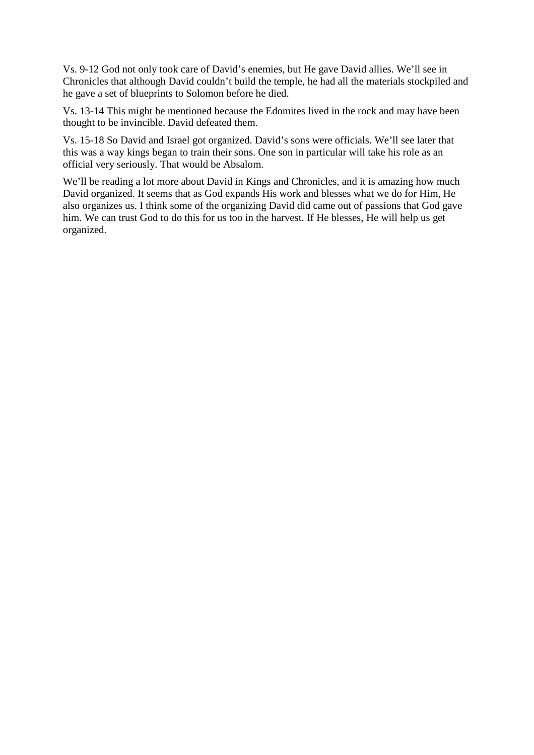Vs. 9-12 God not only took care of David's enemies, but He gave David allies. We'll see in Chronicles that although David couldn't build the temple, he had all the materials stockpiled and he gave a set of blueprints to Solomon before he died.

Vs. 13-14 This might be mentioned because the Edomites lived in the rock and may have been thought to be invincible. David defeated them.

Vs. 15-18 So David and Israel got organized. David's sons were officials. We'll see later that this was a way kings began to train their sons. One son in particular will take his role as an official very seriously. That would be Absalom.

We'll be reading a lot more about David in Kings and Chronicles, and it is amazing how much David organized. It seems that as God expands His work and blesses what we do for Him, He also organizes us. I think some of the organizing David did came out of passions that God gave him. We can trust God to do this for us too in the harvest. If He blesses, He will help us get organized.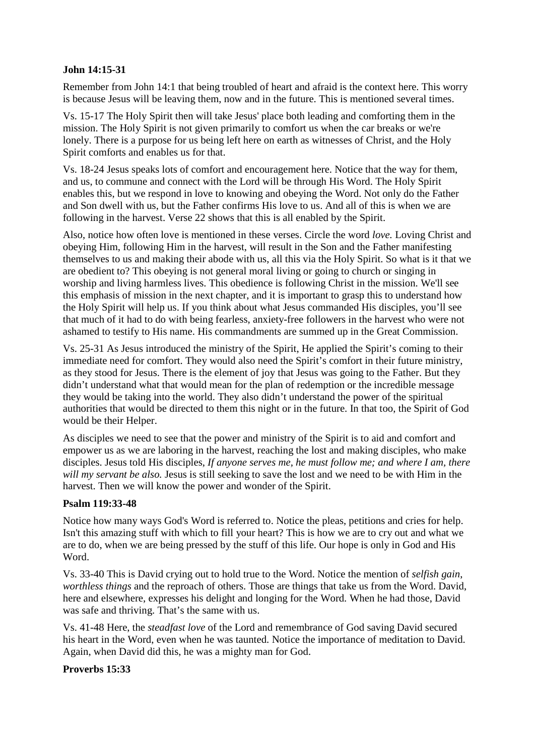## **John 14:15-31**

Remember from John 14:1 that being troubled of heart and afraid is the context here. This worry is because Jesus will be leaving them, now and in the future. This is mentioned several times.

Vs. 15-17 The Holy Spirit then will take Jesus' place both leading and comforting them in the mission. The Holy Spirit is not given primarily to comfort us when the car breaks or we're lonely. There is a purpose for us being left here on earth as witnesses of Christ, and the Holy Spirit comforts and enables us for that.

Vs. 18-24 Jesus speaks lots of comfort and encouragement here. Notice that the way for them, and us, to commune and connect with the Lord will be through His Word. The Holy Spirit enables this, but we respond in love to knowing and obeying the Word. Not only do the Father and Son dwell with us, but the Father confirms His love to us. And all of this is when we are following in the harvest. Verse 22 shows that this is all enabled by the Spirit.

Also, notice how often love is mentioned in these verses. Circle the word *love.* Loving Christ and obeying Him, following Him in the harvest, will result in the Son and the Father manifesting themselves to us and making their abode with us, all this via the Holy Spirit. So what is it that we are obedient to? This obeying is not general moral living or going to church or singing in worship and living harmless lives. This obedience is following Christ in the mission. We'll see this emphasis of mission in the next chapter, and it is important to grasp this to understand how the Holy Spirit will help us. If you think about what Jesus commanded His disciples, you'll see that much of it had to do with being fearless, anxiety-free followers in the harvest who were not ashamed to testify to His name. His commandments are summed up in the Great Commission.

Vs. 25-31 As Jesus introduced the ministry of the Spirit, He applied the Spirit's coming to their immediate need for comfort. They would also need the Spirit's comfort in their future ministry, as they stood for Jesus. There is the element of joy that Jesus was going to the Father. But they didn't understand what that would mean for the plan of redemption or the incredible message they would be taking into the world. They also didn't understand the power of the spiritual authorities that would be directed to them this night or in the future. In that too, the Spirit of God would be their Helper.

As disciples we need to see that the power and ministry of the Spirit is to aid and comfort and empower us as we are laboring in the harvest, reaching the lost and making disciples, who make disciples. Jesus told His disciples, *If anyone serves me, he must follow me; and where I am, there will my servant be also.* Jesus is still seeking to save the lost and we need to be with Him in the harvest. Then we will know the power and wonder of the Spirit.

## **Psalm 119:33-48**

Notice how many ways God's Word is referred to. Notice the pleas, petitions and cries for help. Isn't this amazing stuff with which to fill your heart? This is how we are to cry out and what we are to do, when we are being pressed by the stuff of this life. Our hope is only in God and His Word.

Vs. 33-40 This is David crying out to hold true to the Word. Notice the mention of *selfish gain*, *worthless things* and the reproach of others. Those are things that take us from the Word. David, here and elsewhere, expresses his delight and longing for the Word. When he had those, David was safe and thriving. That's the same with us.

Vs. 41-48 Here, the *steadfast love* of the Lord and remembrance of God saving David secured his heart in the Word, even when he was taunted. Notice the importance of meditation to David. Again, when David did this, he was a mighty man for God.

#### **Proverbs 15:33**